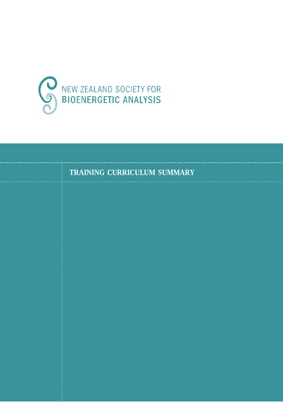

**TRAINING CURRICULUM SUMMARY**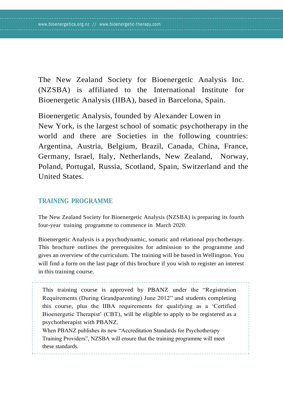The New Zealand Society for Bioenergetic Analysis Inc. (NZSBA) is affiliated to the International Institute for Bioenergetic Analysis (IIBA), based in Barcelona, Spain.

Bioenergetic Analysis, founded by Alexander Lowen in New York, is the largest school of somatic psychotherapy in the world and there are Societies in the following countries: Argentina, Austria, Belgium, Brazil, Canada, China, France, Germany, Israel, Italy, Netherlands, New Zealand, Norway, Poland, Portugal, Russia, Scotland, Spain, Switzerland and the United States.

## **TRAINING PROGRAMME**

The New Zealand Society for Bioenergetic Analysis (NZSBA) is preparing its fourth four-year training programme to commence in March 2020.

Bioenergetic Analysis is a psychodynamic, somatic and relational psychotherapy. This brochure outlines the prerequisites for admission to the programme and gives an overview of the curriculum. The training will be based in Wellington. You will find a form on the last page of this brochure if you wish to register an interest in this training course.

This training course is approved by PBANZ under the "Registration Requirements (During Grandparenting) June 2012" and students completing this course, plus the IIBA requirements for qualifying as a 'Certified Bioenergetic Therapist' (CBT), will be eligible to apply to be registered as a psychotherapist with PBANZ.

When PBANZ publishes its new "Accreditation Standards for Psychotherapy Training Providers", NZSBA will ensure that the training programme will meet these standards.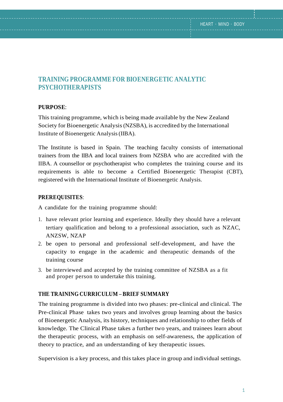## **TRAINING PROGRAMME FOR BIOENERGETIC ANALYTIC PSYCHOTHERAPISTS**

### **PURPOSE**:

This training programme, which is being made available by the New Zealand Society for Bioenergetic Analysis(NZSBA), is accredited by the International Institute of Bioenergetic Analysis(IIBA).

The Institute is based in Spain. The teaching faculty consists of international trainers from the IIBA and local trainers from NZSBA who are accredited with the IIBA. A counsellor or psychotherapist who completes the training course and its requirements is able to become a Certified Bioenergetic Therapist (CBT), registered with the International Institute of Bioenergetic Analysis.

### **PREREQUISITES**:

A candidate for the training programme should:

- 1. have relevant prior learning and experience. Ideally they should have a relevant tertiary qualification and belong to a professional association, such as NZAC, ANZSW, NZAP
- 2. be open to personal and professional self-development, and have the capacity to engage in the academic and therapeutic demands of the training course
- 3. be interviewed and accepted by the training committee of NZSBA as a fit and proper person to undertake this training.

### **THE TRAINING CURRICULUM – BRIEF SUMMARY**

The training programme is divided into two phases: pre-clinical and clinical. The Pre-clinical Phase takes two years and involves group learning about the basics of Bioenergetic Analysis, its history, techniques and relationship to other fields of knowledge. The Clinical Phase takes a further two years, and trainees learn about the therapeutic process, with an emphasis on self-awareness, the application of theory to practice, and an understanding of key therapeutic issues.

Supervision is a key process, and this takes place in group and individual settings.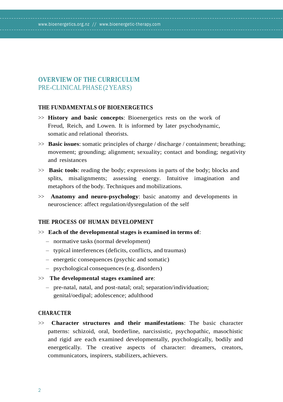#### [www.bioenergetics.org.nz /](http://www.bioenergetics.org.nz/)/ [www.bioenergetic-therapy.com](http://www.bioenergetic-therapy.com/)

## **OVERVIEW OF THE CURRICULUM** PRE-CLINICALPHASE(2YEARS)

#### **THE FUNDAMENTALS OF BIOENERGETICS**

- >> **History and basic concepts**: Bioenergetics rests on the work of Freud, Reich, and Lowen. It is informed by later psychodynamic, somatic and relational theorists.
- >> **Basic issues**: somatic principles of charge / discharge / containment; breathing; movement; grounding; alignment; sexuality; contact and bonding; negativity and resistances
- >> **Basic tools**: reading the body; expressions in parts of the body; blocks and splits, misalignments; assessing energy. Intuitive imagination and metaphors of the body. Techniques and mobilizations.
- >> **Anatomy and neuro-psychology**: basic anatomy and developments in neuroscience: affect regulation/dysregulation of the self

### **THE PROCESS OF HUMAN DEVELOPMENT**

- >> **Each of the developmental stages is examined in terms of**:
	- normative tasks (normal development)
	- typical interferences (deficits, conflicts, and traumas)
	- energetic consequences (psychic and somatic)
	- psychological consequences(e.g. disorders)

#### >> **The developmental stages examined are**:

– pre-natal, natal, and post-natal; oral; separation/individuation; genital/oedipal; adolescence; adulthood

#### **CHARACTER**

>> **Character structures and their manifestations**: The basic character patterns: schizoid, oral, borderline, narcissistic, psychopathic, masochistic and rigid are each examined developmentally, psychologically, bodily and energetically. The creative aspects of character: dreamers, creators, communicators, inspirers, stabilizers, achievers.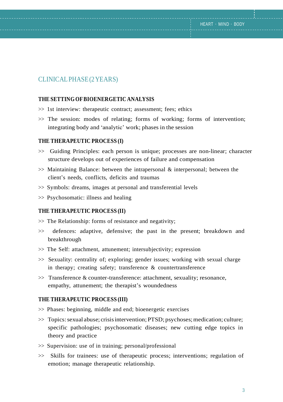## CLINICALPHASE(2YEARS)

### **THE SETTING OFBIOENERGETIC ANALYSIS**

- >> 1st interview: therapeutic contract; assessment; fees; ethics
- >> The session: modes of relating; forms of working; forms of intervention; integrating body and 'analytic' work; phases in the session

#### **THE THERAPEUTIC PROCESS (I)**

- >> Guiding Principles: each person is unique; processes are non-linear; character structure develops out of experiences of failure and compensation
- $\gg$  Maintaining Balance: between the intrapersonal & interpersonal; between the client's needs, conflicts, deficits and traumas
- >> Symbols: dreams, images at personal and transferential levels
- >> Psychosomatic: illness and healing

### **THE THERAPEUTIC PROCESS (II)**

- $\gg$  The Relationship: forms of resistance and negativity:
- >> defences: adaptive, defensive; the past in the present; breakdown and breakthrough
- >> The Self: attachment, attunement; intersubjectivity; expression
- >> Sexuality: centrality of; exploring; gender issues; working with sexual charge in therapy; creating safety; transference & countertransference
- >> Transference & counter-transference: attachment, sexuality; resonance, empathy, attunement; the therapist's woundedness

### **THE THERAPEUTIC PROCESS (III)**

- >> Phases: beginning, middle and end; bioenergetic exercises
- $\gg$  Topics: sexual abuse; crisis intervention; PTSD; psychoses; medication; culture; specific pathologies; psychosomatic diseases; new cutting edge topics in theory and practice
- >> Supervision: use of in training; personal/professional
- >> Skills for trainees: use of therapeutic process; interventions; regulation of emotion; manage therapeutic relationship.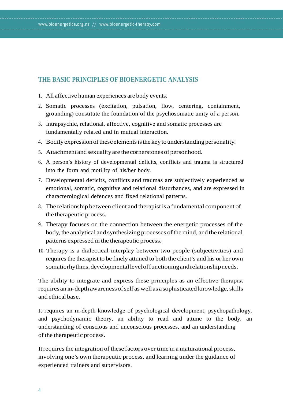# **THE BASIC PRINCIPLES OF BIOENERGETIC ANALYSIS**

1. All affective human experiences are body events.

[www.bioenergetics.org.nz /](http://www.bioenergetics.org.nz/)/ [www.bioenergetic-therapy.com](http://www.bioenergetic-therapy.com/)

- 2. Somatic processes (excitation, pulsation, flow, centering, containment, grounding) constitute the foundation of the psychosomatic unity of a person.
- 3. Intrapsychic, relational, affective, cognitive and somatic processes are fundamentally related and in mutual interaction.
- 4. Bodilyexpressionoftheseelementsisthekeytounderstandingpersonality.
- 5. Attachment and sexuality are the cornerstones of personhood.
- 6. A person's history of developmental deficits, conflicts and trauma is structured into the form and motility of his/her body.
- 7. Developmental deficits, conflicts and traumas are subjectively experienced as emotional, somatic, cognitive and relational disturbances, and are expressed in characterological defences and fixed relational patterns.
- 8. The relationship between client and therapist is a fundamental component of the therapeutic process.
- 9. Therapy focuses on the connection between the energetic processes of the body, the analytical and synthesizing processes of the mind, and the relational patterns expressed in the therapeutic process.
- 10. Therapy is a dialectical interplay between two people (subjectivities) and requires the therapist to be finely attuned to both the client's and his or her own somaticrhythms, developmental level of functioning and relationship needs.

The ability to integrate and express these principles as an effective therapist requires an in-depth awareness of self as well as a sophisticated knowledge, skills and ethical base.

It requires an in-depth knowledge of psychological development, psychopathology, and psychodynamic theory, an ability to read and attune to the body, an understanding of conscious and unconscious processes, and an understanding of the therapeutic process.

It requires the integration of these factors over time in a maturational process, involving one's own therapeutic process, and learning under the guidance of experienced trainers and supervisors.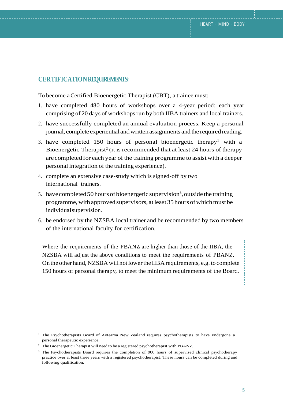## **CERTIFICATIONREQUIREMENTS:**

To become a Certified Bioenergetic Therapist (CBT), a trainee must:

- 1. have completed 480 hours of workshops over a 4-year period: each year comprising of 20 days of workshops run by both IIBA trainers and local trainers.
- 2. have successfully completed an annual evaluation process. Keep a personal journal, complete experiential and written assignments and the required reading.
- 3. have completed 150 hours of personal bioenergetic therapy<sup>1</sup> with a Bioenergetic Therapist<sup>2</sup> (it is recommended that at least 24 hours of therapy are completed for each year of the training programme to assistwith a deeper personal integration of the training experience).
- 4. complete an extensive case-study which is signed-off by two international trainers.
- 5. have completed 50 hours of bioenergetic supervision<sup>3</sup>, outside the training programme,withapprovedsupervisors, atleast 35hours ofwhichmustbe individualsupervision.
- 6. be endorsed by the NZSBA local trainer and be recommended by two members of the international faculty for certification.

Where the requirements of the PBANZ are higher than those of the IIBA, the NZSBA will adjust the above conditions to meet the requirements of PBANZ. On the other hand, NZSBA will notlowerthe IIBA requirements, e.g. to complete 150 hours of personal therapy, to meet the minimum requirements of the Board.

- <sup>2</sup> The Bioenergetic Therapist will need to be a registered psychotherapist with PBANZ.
- <sup>3</sup> The Psychotherapists Board requires the completion of 900 hours of supervised clinical psychotherapy practice over at least three years with a registered psychotherapist. These hours can be completed during and following qualification.

<sup>1</sup> The Psychotherapists Board of Aotearoa New Zealand requires psychotherapists to have undergone a personal therapeutic experience.